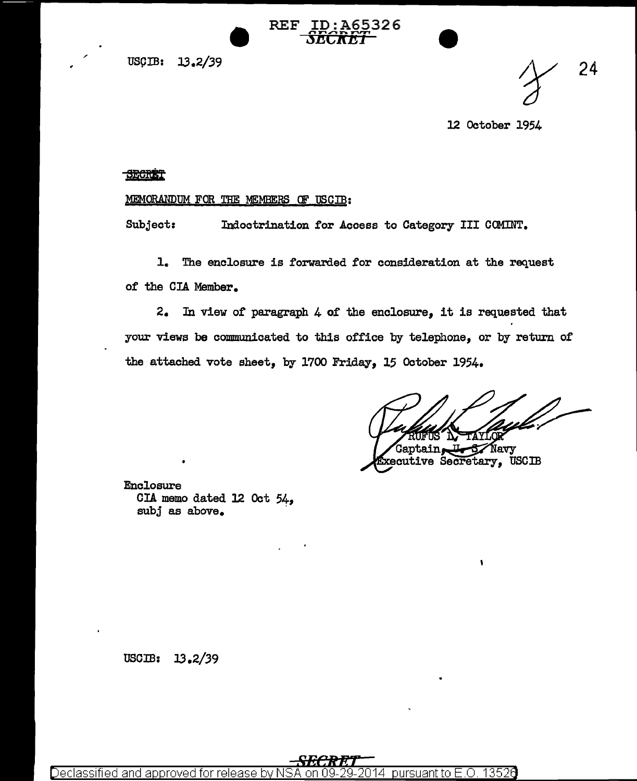uscm: JJ.2/39

24

12 October 1954

## SECRET

## MEMORANDUM FOR THE MEMBERS OF USCIB:

Subject: Indoctrination for Access to Category III COMINT.

REF ID:A65326  $\frac{1}{5}$ ECRET

1. The enclosure is forwarded for consideration at the request of the CIA Member.

2. In view of paragraph 4 of the enclosure, it is requested that your views be communicated to this office by telephone, or by return of the attached vote sheet, by 1700 Friday, 15 October 1954.

.<br>Gaptain. Navy

 $\bullet$ 

xecutive Secretary, USCIB

Enclosure CIA memo dated 12 Oct *54*<sup>1</sup> subj as above.

 $\text{USC} \cdot 13.2/39$